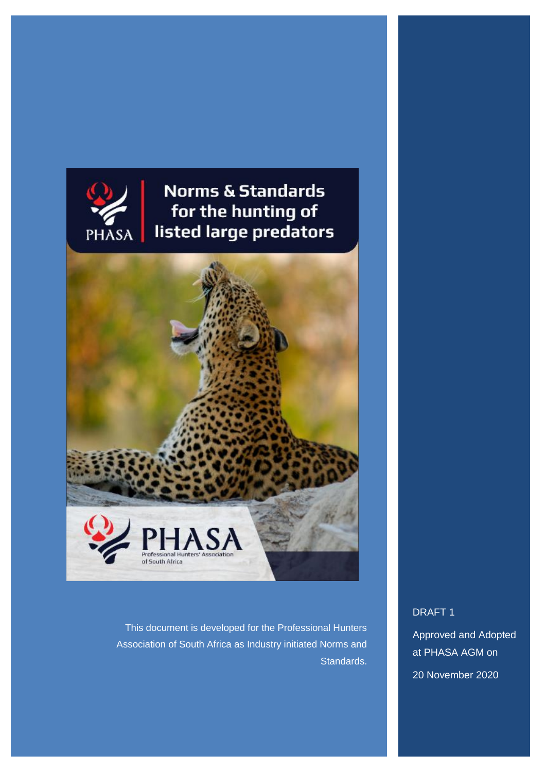

**Norms & Standards** for the hunting of listed large predators



This document is developed for the Professional Hunters Association of South Africa as Industry initiated Norms and Standards.

DRAFT 1

Approved and Adopted at PHASA AGM on

20 November 2020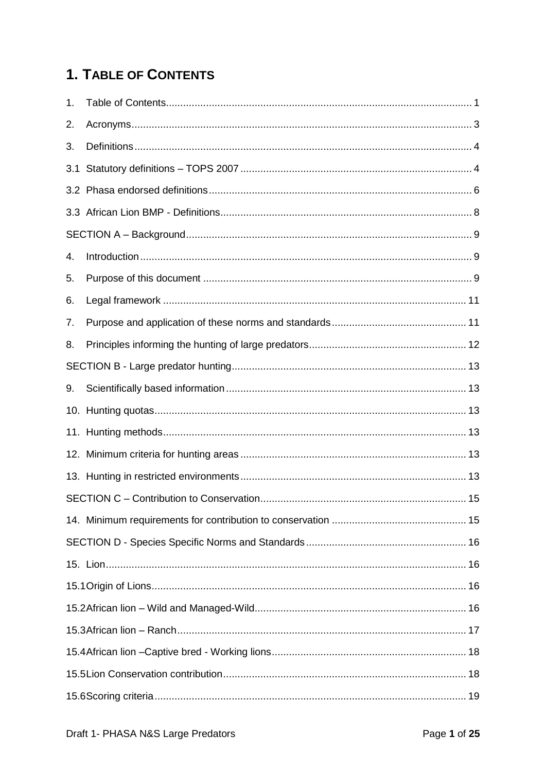## <span id="page-1-0"></span>**1. TABLE OF CONTENTS**

| 1.  |  |
|-----|--|
| 2.  |  |
| 3.  |  |
| 3.1 |  |
|     |  |
|     |  |
|     |  |
| 4.  |  |
| 5.  |  |
| 6.  |  |
| 7.  |  |
| 8.  |  |
|     |  |
| 9.  |  |
|     |  |
|     |  |
|     |  |
|     |  |
|     |  |
|     |  |
|     |  |
|     |  |
|     |  |
|     |  |
|     |  |
|     |  |
|     |  |
|     |  |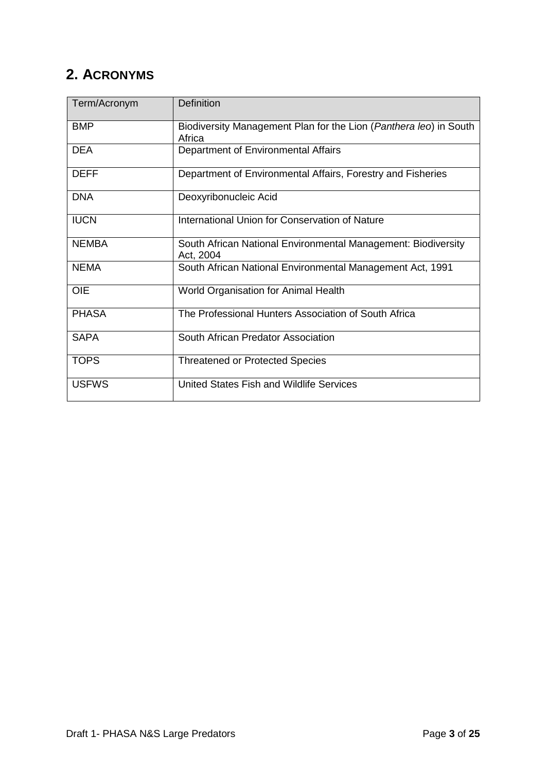### <span id="page-3-0"></span>**2. ACRONYMS**

| Term/Acronym | <b>Definition</b>                                                           |
|--------------|-----------------------------------------------------------------------------|
| <b>BMP</b>   | Biodiversity Management Plan for the Lion (Panthera leo) in South<br>Africa |
| <b>DEA</b>   | Department of Environmental Affairs                                         |
| <b>DEFF</b>  | Department of Environmental Affairs, Forestry and Fisheries                 |
| <b>DNA</b>   | Deoxyribonucleic Acid                                                       |
| <b>IUCN</b>  | International Union for Conservation of Nature                              |
| <b>NEMBA</b> | South African National Environmental Management: Biodiversity<br>Act, 2004  |
| <b>NEMA</b>  | South African National Environmental Management Act, 1991                   |
| <b>OIE</b>   | World Organisation for Animal Health                                        |
| <b>PHASA</b> | The Professional Hunters Association of South Africa                        |
| <b>SAPA</b>  | South African Predator Association                                          |
| <b>TOPS</b>  | <b>Threatened or Protected Species</b>                                      |
| <b>USFWS</b> | United States Fish and Wildlife Services                                    |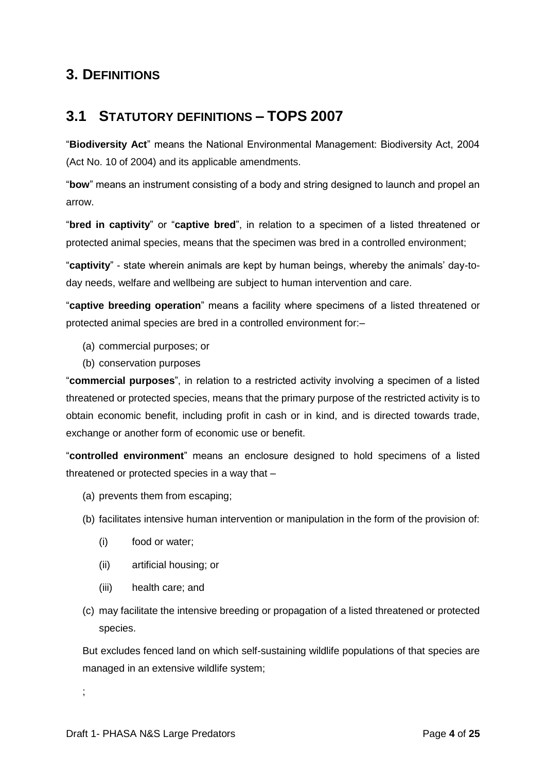#### <span id="page-4-0"></span>**3. DEFINITIONS**

#### <span id="page-4-1"></span>**3.1 STATUTORY DEFINITIONS – TOPS 2007**

"**Biodiversity Act**" means the National Environmental Management: Biodiversity Act, 2004 (Act No. 10 of 2004) and its applicable amendments.

"**bow**" means an instrument consisting of a body and string designed to launch and propel an arrow.

"**bred in captivity**" or "**captive bred**", in relation to a specimen of a listed threatened or protected animal species, means that the specimen was bred in a controlled environment;

"**captivity**" - state wherein animals are kept by human beings, whereby the animals' day-today needs, welfare and wellbeing are subject to human intervention and care.

"**captive breeding operation**" means a facility where specimens of a listed threatened or protected animal species are bred in a controlled environment for:–

- (a) commercial purposes; or
- (b) conservation purposes

"**commercial purposes**", in relation to a restricted activity involving a specimen of a listed threatened or protected species, means that the primary purpose of the restricted activity is to obtain economic benefit, including profit in cash or in kind, and is directed towards trade, exchange or another form of economic use or benefit.

"**controlled environment**" means an enclosure designed to hold specimens of a listed threatened or protected species in a way that –

- (a) prevents them from escaping;
- (b) facilitates intensive human intervention or manipulation in the form of the provision of:
	- (i) food or water;
	- (ii) artificial housing; or
	- (iii) health care; and
- (c) may facilitate the intensive breeding or propagation of a listed threatened or protected species.

But excludes fenced land on which self-sustaining wildlife populations of that species are managed in an extensive wildlife system;

;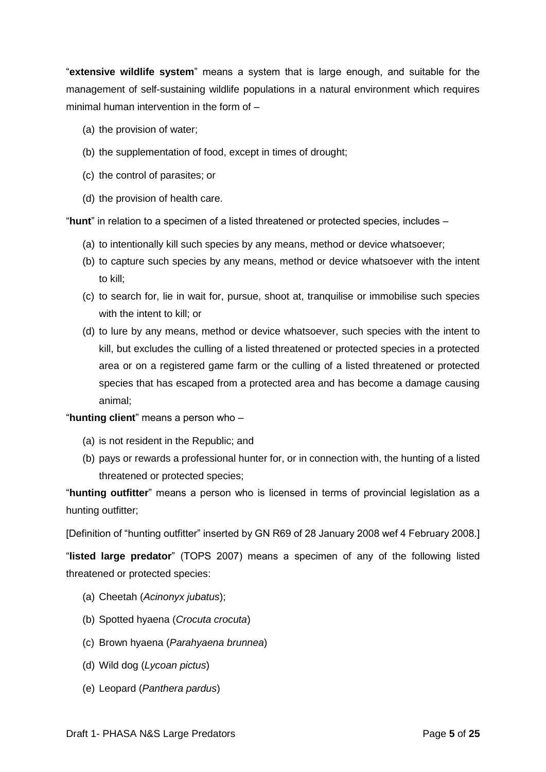"**extensive wildlife system**" means a system that is large enough, and suitable for the management of self-sustaining wildlife populations in a natural environment which requires minimal human intervention in the form of –

- (a) the provision of water;
- (b) the supplementation of food, except in times of drought;
- (c) the control of parasites; or
- (d) the provision of health care.

"**hunt**" in relation to a specimen of a listed threatened or protected species, includes –

- (a) to intentionally kill such species by any means, method or device whatsoever;
- (b) to capture such species by any means, method or device whatsoever with the intent to kill;
- (c) to search for, lie in wait for, pursue, shoot at, tranquilise or immobilise such species with the intent to kill; or
- (d) to lure by any means, method or device whatsoever, such species with the intent to kill, but excludes the culling of a listed threatened or protected species in a protected area or on a registered game farm or the culling of a listed threatened or protected species that has escaped from a protected area and has become a damage causing animal;

"**hunting client**" means a person who –

- (a) is not resident in the Republic; and
- (b) pays or rewards a professional hunter for, or in connection with, the hunting of a listed threatened or protected species;

"**hunting outfitter**" means a person who is licensed in terms of provincial legislation as a hunting outfitter;

[Definition of "hunting outfitter" inserted by GN R69 of 28 January 2008 wef 4 February 2008.]

"**listed large predator**" (TOPS 2007) means a specimen of any of the following listed threatened or protected species:

- (a) Cheetah (*Acinonyx jubatus*);
- (b) Spotted hyaena (*Crocuta crocuta*)
- (c) Brown hyaena (*Parahyaena brunnea*)
- (d) Wild dog (*Lycoan pictus*)
- (e) Leopard (*Panthera pardus*)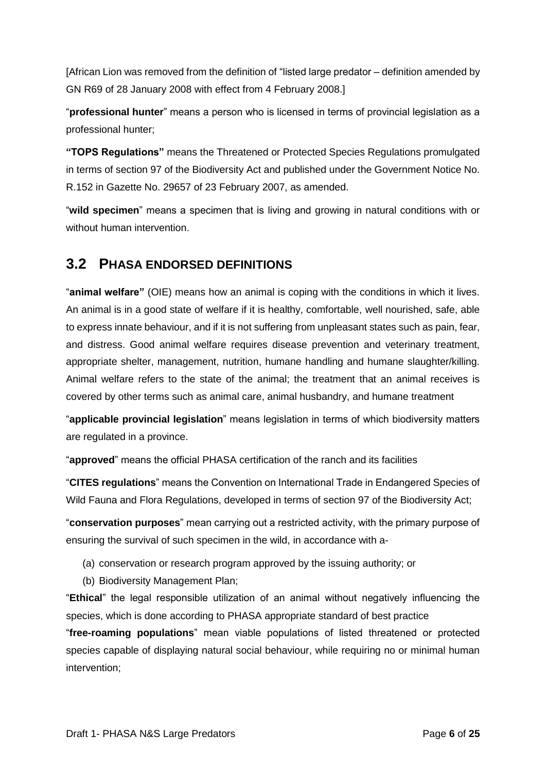[African Lion was removed from the definition of "listed large predator – definition amended by GN R69 of 28 January 2008 with effect from 4 February 2008.]

"**professional hunter**" means a person who is licensed in terms of provincial legislation as a professional hunter;

**"TOPS Regulations"** means the Threatened or Protected Species Regulations promulgated in terms of section 97 of the Biodiversity Act and published under the Government Notice No. R.152 in Gazette No. 29657 of 23 February 2007, as amended.

"**wild specimen**" means a specimen that is living and growing in natural conditions with or without human intervention.

#### <span id="page-6-0"></span>**3.2 PHASA ENDORSED DEFINITIONS**

"**animal welfare"** (OIE) means how an animal is coping with the conditions in which it lives. An animal is in a good state of welfare if it is healthy, comfortable, well nourished, safe, able to express innate behaviour, and if it is not suffering from unpleasant states such as pain, fear, and distress. Good animal welfare requires disease prevention and veterinary treatment, appropriate shelter, management, nutrition, humane handling and humane slaughter/killing. Animal welfare refers to the state of the animal; the treatment that an animal receives is covered by other terms such as animal care, animal husbandry, and humane treatment

"**applicable provincial legislation**" means legislation in terms of which biodiversity matters are regulated in a province.

"**approved**" means the official PHASA certification of the ranch and its facilities

"**CITES regulations**" means the Convention on International Trade in Endangered Species of Wild Fauna and Flora Regulations, developed in terms of section 97 of the Biodiversity Act;

"**conservation purposes**" mean carrying out a restricted activity, with the primary purpose of ensuring the survival of such specimen in the wild, in accordance with a-

- (a) conservation or research program approved by the issuing authority; or
- (b) Biodiversity Management Plan;

"**Ethical**" the legal responsible utilization of an animal without negatively influencing the species, which is done according to PHASA appropriate standard of best practice

"**free-roaming populations**" mean viable populations of listed threatened or protected species capable of displaying natural social behaviour, while requiring no or minimal human intervention;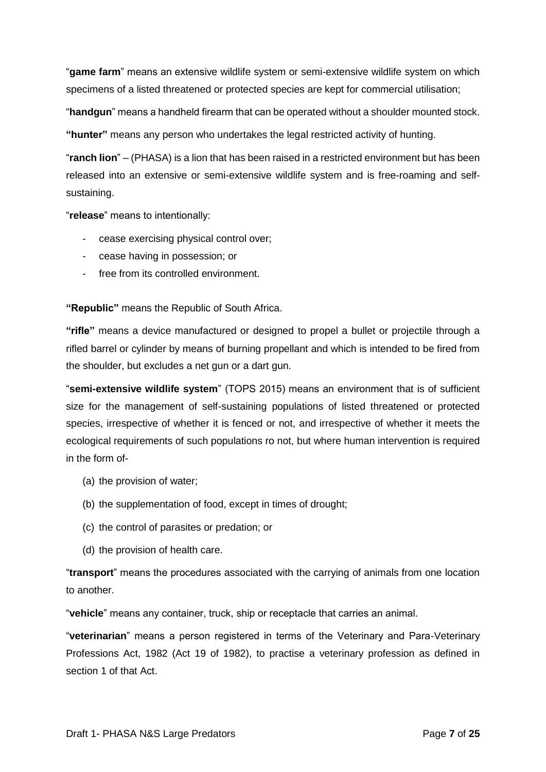"**game farm**" means an extensive wildlife system or semi-extensive wildlife system on which specimens of a listed threatened or protected species are kept for commercial utilisation;

"**handgun**" means a handheld firearm that can be operated without a shoulder mounted stock.

**"hunter"** means any person who undertakes the legal restricted activity of hunting.

"**ranch lion**" – (PHASA) is a lion that has been raised in a restricted environment but has been released into an extensive or semi-extensive wildlife system and is free-roaming and selfsustaining.

"**release**" means to intentionally:

- cease exercising physical control over;
- cease having in possession; or
- free from its controlled environment.

**"Republic"** means the Republic of South Africa.

**"rifle"** means a device manufactured or designed to propel a bullet or projectile through a rifled barrel or cylinder by means of burning propellant and which is intended to be fired from the shoulder, but excludes a net gun or a dart gun.

"**semi-extensive wildlife system**" (TOPS 2015) means an environment that is of sufficient size for the management of self-sustaining populations of listed threatened or protected species, irrespective of whether it is fenced or not, and irrespective of whether it meets the ecological requirements of such populations ro not, but where human intervention is required in the form of-

- (a) the provision of water;
- (b) the supplementation of food, except in times of drought;
- (c) the control of parasites or predation; or
- (d) the provision of health care.

"**transport**" means the procedures associated with the carrying of animals from one location to another.

"**vehicle**" means any container, truck, ship or receptacle that carries an animal.

"**veterinarian**" means a person registered in terms of the Veterinary and Para-Veterinary Professions Act, 1982 (Act 19 of 1982), to practise a veterinary profession as defined in section 1 of that Act.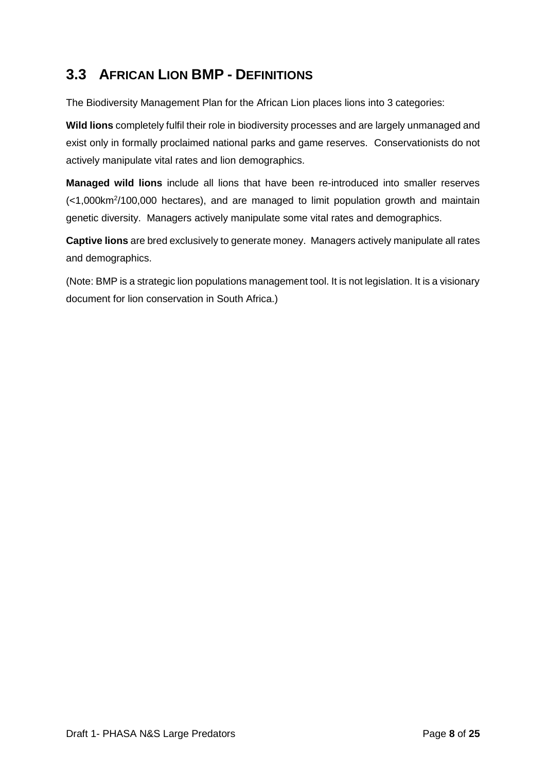### <span id="page-8-0"></span>**3.3 AFRICAN LION BMP - DEFINITIONS**

The Biodiversity Management Plan for the African Lion places lions into 3 categories:

**Wild lions** completely fulfil their role in biodiversity processes and are largely unmanaged and exist only in formally proclaimed national parks and game reserves. Conservationists do not actively manipulate vital rates and lion demographics.

**Managed wild lions** include all lions that have been re-introduced into smaller reserves (<1,000km<sup>2</sup> /100,000 hectares), and are managed to limit population growth and maintain genetic diversity. Managers actively manipulate some vital rates and demographics.

**Captive lions** are bred exclusively to generate money. Managers actively manipulate all rates and demographics.

(Note: BMP is a strategic lion populations management tool. It is not legislation. It is a visionary document for lion conservation in South Africa.)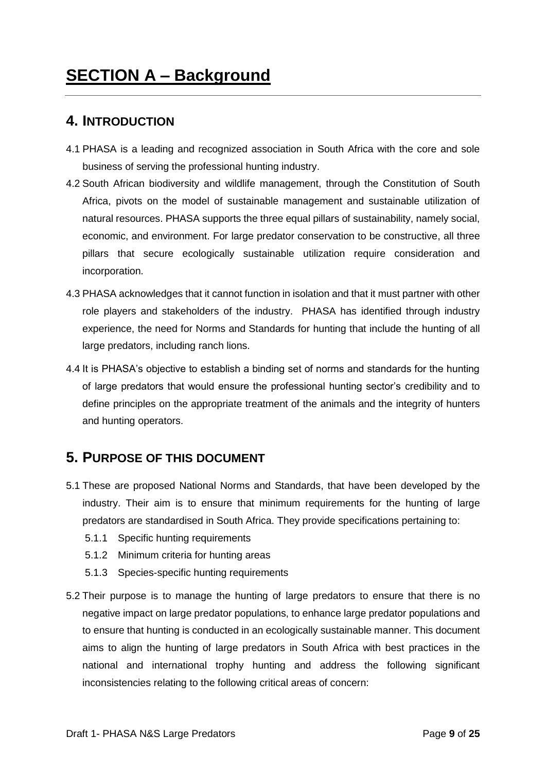#### <span id="page-9-1"></span><span id="page-9-0"></span>**4. INTRODUCTION**

- 4.1 PHASA is a leading and recognized association in South Africa with the core and sole business of serving the professional hunting industry.
- 4.2 South African biodiversity and wildlife management, through the Constitution of South Africa, pivots on the model of sustainable management and sustainable utilization of natural resources. PHASA supports the three equal pillars of sustainability, namely social, economic, and environment. For large predator conservation to be constructive, all three pillars that secure ecologically sustainable utilization require consideration and incorporation.
- 4.3 PHASA acknowledges that it cannot function in isolation and that it must partner with other role players and stakeholders of the industry. PHASA has identified through industry experience, the need for Norms and Standards for hunting that include the hunting of all large predators, including ranch lions.
- 4.4 It is PHASA's objective to establish a binding set of norms and standards for the hunting of large predators that would ensure the professional hunting sector's credibility and to define principles on the appropriate treatment of the animals and the integrity of hunters and hunting operators.

#### <span id="page-9-2"></span>**5. PURPOSE OF THIS DOCUMENT**

- 5.1 These are proposed National Norms and Standards, that have been developed by the industry. Their aim is to ensure that minimum requirements for the hunting of large predators are standardised in South Africa. They provide specifications pertaining to:
	- 5.1.1 Specific hunting requirements
	- 5.1.2 Minimum criteria for hunting areas
	- 5.1.3 Species-specific hunting requirements
- 5.2 Their purpose is to manage the hunting of large predators to ensure that there is no negative impact on large predator populations, to enhance large predator populations and to ensure that hunting is conducted in an ecologically sustainable manner. This document aims to align the hunting of large predators in South Africa with best practices in the national and international trophy hunting and address the following significant inconsistencies relating to the following critical areas of concern: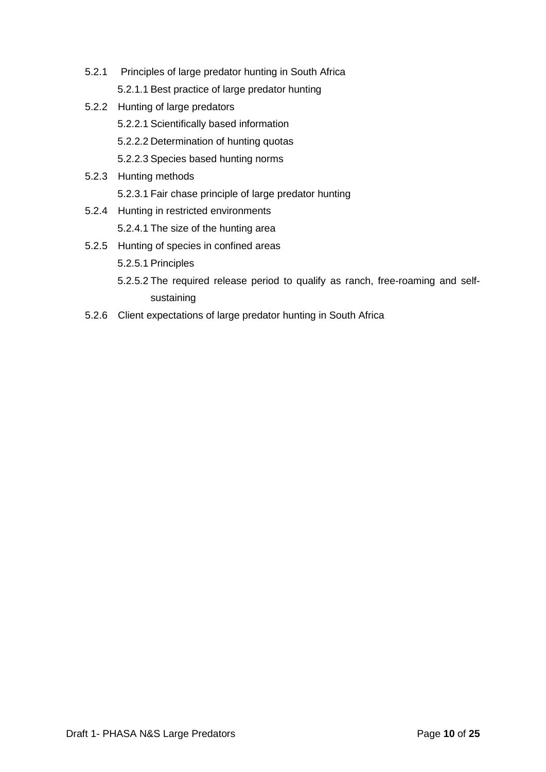- 5.2.1 Principles of large predator hunting in South Africa 5.2.1.1 Best practice of large predator hunting
- 5.2.2 Hunting of large predators 5.2.2.1 Scientifically based information 5.2.2.2 Determination of hunting quotas 5.2.2.3 Species based hunting norms
- 5.2.3 Hunting methods
	- 5.2.3.1 Fair chase principle of large predator hunting
- 5.2.4 Hunting in restricted environments

5.2.4.1 The size of the hunting area

- 5.2.5 Hunting of species in confined areas 5.2.5.1 Principles
	- 5.2.5.2 The required release period to qualify as ranch, free-roaming and selfsustaining
- 5.2.6 Client expectations of large predator hunting in South Africa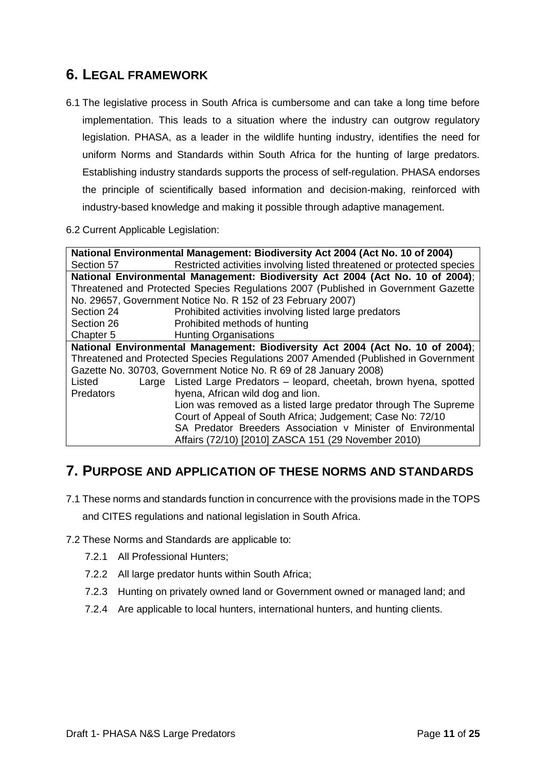#### <span id="page-11-0"></span>**6. LEGAL FRAMEWORK**

6.1 The legislative process in South Africa is cumbersome and can take a long time before implementation. This leads to a situation where the industry can outgrow regulatory legislation. PHASA, as a leader in the wildlife hunting industry, identifies the need for uniform Norms and Standards within South Africa for the hunting of large predators. Establishing industry standards supports the process of self-regulation. PHASA endorses the principle of scientifically based information and decision-making, reinforced with industry-based knowledge and making it possible through adaptive management.

#### 6.2 Current Applicable Legislation:

| National Environmental Management: Biodiversity Act 2004 (Act No. 10 of 2004)      |                                                                                    |  |  |  |  |  |  |
|------------------------------------------------------------------------------------|------------------------------------------------------------------------------------|--|--|--|--|--|--|
| Section 57                                                                         | Restricted activities involving listed threatened or protected species             |  |  |  |  |  |  |
| National Environmental Management: Biodiversity Act 2004 (Act No. 10 of 2004);     |                                                                                    |  |  |  |  |  |  |
| Threatened and Protected Species Regulations 2007 (Published in Government Gazette |                                                                                    |  |  |  |  |  |  |
| No. 29657, Government Notice No. R 152 of 23 February 2007)                        |                                                                                    |  |  |  |  |  |  |
| Section 24                                                                         | Prohibited activities involving listed large predators                             |  |  |  |  |  |  |
| Section 26                                                                         | Prohibited methods of hunting                                                      |  |  |  |  |  |  |
| Chapter 5                                                                          | <b>Hunting Organisations</b>                                                       |  |  |  |  |  |  |
|                                                                                    | National Environmental Management: Biodiversity Act 2004 (Act No. 10 of 2004);     |  |  |  |  |  |  |
|                                                                                    | Threatened and Protected Species Regulations 2007 Amended (Published in Government |  |  |  |  |  |  |
| Gazette No. 30703, Government Notice No. R 69 of 28 January 2008)                  |                                                                                    |  |  |  |  |  |  |
| Listed                                                                             | Large Listed Large Predators - leopard, cheetah, brown hyena, spotted              |  |  |  |  |  |  |
| <b>Predators</b>                                                                   | hyena, African wild dog and lion.                                                  |  |  |  |  |  |  |
|                                                                                    | Lion was removed as a listed large predator through The Supreme                    |  |  |  |  |  |  |
| Court of Appeal of South Africa; Judgement; Case No: 72/10                         |                                                                                    |  |  |  |  |  |  |
|                                                                                    | SA Predator Breeders Association v Minister of Environmental                       |  |  |  |  |  |  |
|                                                                                    | Affairs (72/10) [2010] ZASCA 151 (29 November 2010)                                |  |  |  |  |  |  |

#### <span id="page-11-1"></span>**7. PURPOSE AND APPLICATION OF THESE NORMS AND STANDARDS**

- 7.1 These norms and standards function in concurrence with the provisions made in the TOPS and CITES regulations and national legislation in South Africa.
- 7.2 These Norms and Standards are applicable to:
	- 7.2.1 All Professional Hunters;
	- 7.2.2 All large predator hunts within South Africa;
	- 7.2.3 Hunting on privately owned land or Government owned or managed land; and
	- 7.2.4 Are applicable to local hunters, international hunters, and hunting clients.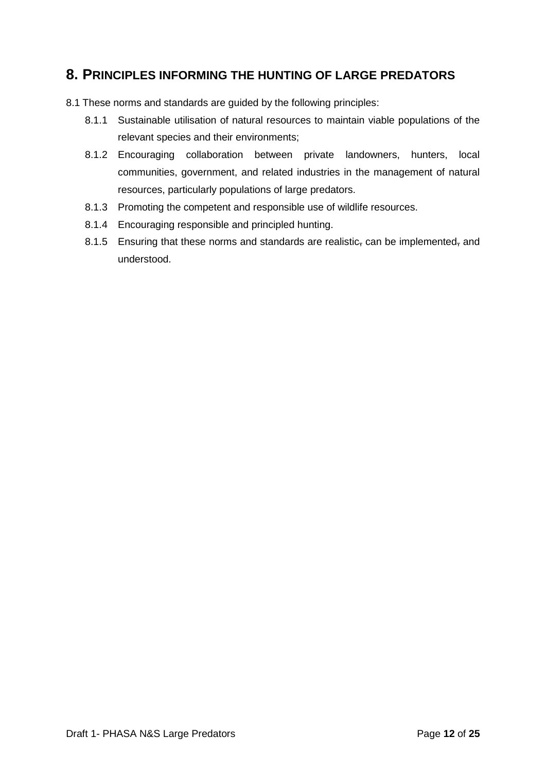#### <span id="page-12-0"></span>**8. PRINCIPLES INFORMING THE HUNTING OF LARGE PREDATORS**

- 8.1 These norms and standards are guided by the following principles:
	- 8.1.1 Sustainable utilisation of natural resources to maintain viable populations of the relevant species and their environments;
	- 8.1.2 Encouraging collaboration between private landowners, hunters, local communities, government, and related industries in the management of natural resources, particularly populations of large predators.
	- 8.1.3 Promoting the competent and responsible use of wildlife resources.
	- 8.1.4 Encouraging responsible and principled hunting.
	- 8.1.5 Ensuring that these norms and standards are realistic, can be implemented, and understood.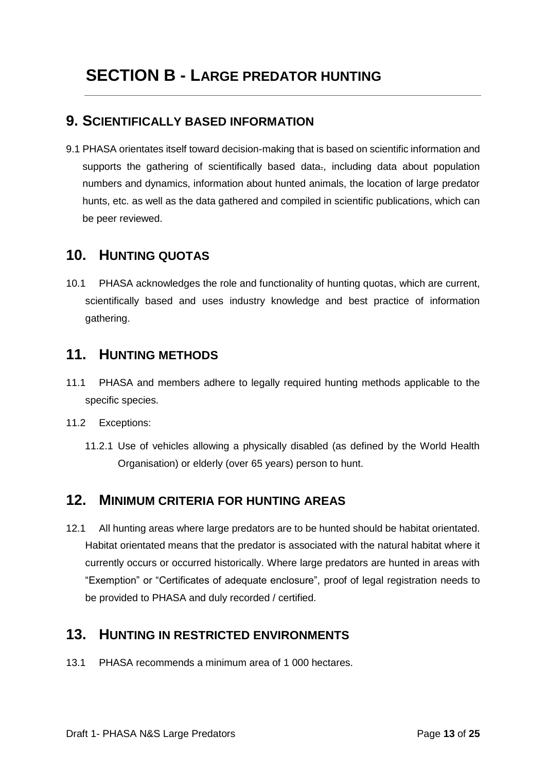#### <span id="page-13-1"></span><span id="page-13-0"></span>**9. SCIENTIFICALLY BASED INFORMATION**

9.1 PHASA orientates itself toward decision-making that is based on scientific information and supports the gathering of scientifically based data<sub>r</sub>, including data about population numbers and dynamics, information about hunted animals, the location of large predator hunts, etc. as well as the data gathered and compiled in scientific publications, which can be peer reviewed.

#### <span id="page-13-2"></span>**10. HUNTING QUOTAS**

10.1 PHASA acknowledges the role and functionality of hunting quotas, which are current, scientifically based and uses industry knowledge and best practice of information gathering.

#### <span id="page-13-3"></span>**11. HUNTING METHODS**

- 11.1 PHASA and members adhere to legally required hunting methods applicable to the specific species.
- 11.2 Exceptions:
	- 11.2.1 Use of vehicles allowing a physically disabled (as defined by the World Health Organisation) or elderly (over 65 years) person to hunt.

#### <span id="page-13-4"></span>**12. MINIMUM CRITERIA FOR HUNTING AREAS**

12.1 All hunting areas where large predators are to be hunted should be habitat orientated. Habitat orientated means that the predator is associated with the natural habitat where it currently occurs or occurred historically. Where large predators are hunted in areas with "Exemption" or "Certificates of adequate enclosure", proof of legal registration needs to be provided to PHASA and duly recorded / certified.

#### <span id="page-13-5"></span>**13. HUNTING IN RESTRICTED ENVIRONMENTS**

13.1 PHASA recommends a minimum area of 1 000 hectares.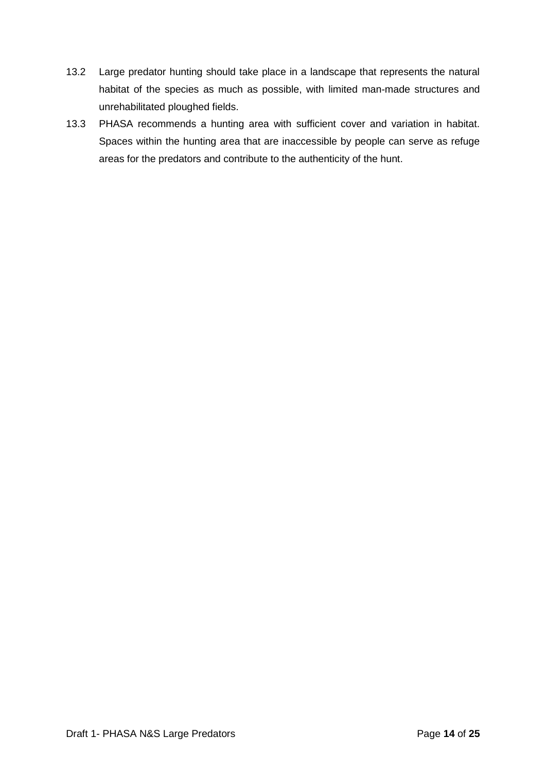- 13.2 Large predator hunting should take place in a landscape that represents the natural habitat of the species as much as possible, with limited man-made structures and unrehabilitated ploughed fields.
- 13.3 PHASA recommends a hunting area with sufficient cover and variation in habitat. Spaces within the hunting area that are inaccessible by people can serve as refuge areas for the predators and contribute to the authenticity of the hunt.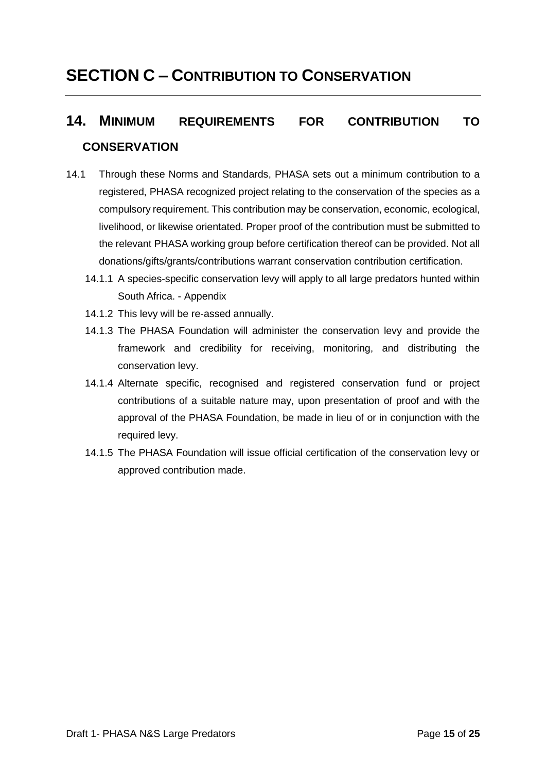### <span id="page-15-0"></span>**SECTION C – CONTRIBUTION TO CONSERVATION**

### <span id="page-15-1"></span>**14. MINIMUM REQUIREMENTS FOR CONTRIBUTION TO CONSERVATION**

- 14.1 Through these Norms and Standards, PHASA sets out a minimum contribution to a registered, PHASA recognized project relating to the conservation of the species as a compulsory requirement. This contribution may be conservation, economic, ecological, livelihood, or likewise orientated. Proper proof of the contribution must be submitted to the relevant PHASA working group before certification thereof can be provided. Not all donations/gifts/grants/contributions warrant conservation contribution certification.
	- 14.1.1 A species-specific conservation levy will apply to all large predators hunted within South Africa. - Appendix
	- 14.1.2 This levy will be re-assed annually.
	- 14.1.3 The PHASA Foundation will administer the conservation levy and provide the framework and credibility for receiving, monitoring, and distributing the conservation levy.
	- 14.1.4 Alternate specific, recognised and registered conservation fund or project contributions of a suitable nature may, upon presentation of proof and with the approval of the PHASA Foundation, be made in lieu of or in conjunction with the required levy.
	- 14.1.5 The PHASA Foundation will issue official certification of the conservation levy or approved contribution made.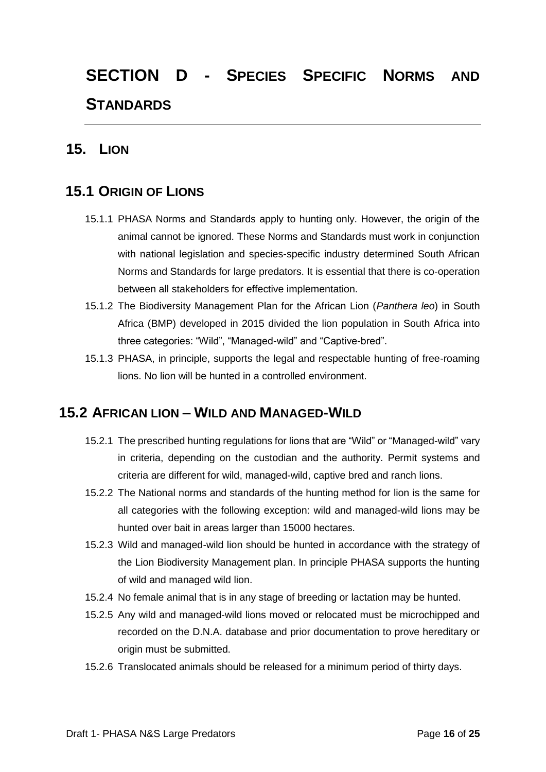# <span id="page-16-0"></span>**SECTION D - SPECIES SPECIFIC NORMS AND STANDARDS**

#### <span id="page-16-1"></span>**15. LION**

#### <span id="page-16-2"></span>**15.1 ORIGIN OF LIONS**

- 15.1.1 PHASA Norms and Standards apply to hunting only. However, the origin of the animal cannot be ignored. These Norms and Standards must work in conjunction with national legislation and species-specific industry determined South African Norms and Standards for large predators. It is essential that there is co-operation between all stakeholders for effective implementation.
- 15.1.2 The Biodiversity Management Plan for the African Lion (*Panthera leo*) in South Africa (BMP) developed in 2015 divided the lion population in South Africa into three categories: "Wild", "Managed-wild" and "Captive-bred".
- 15.1.3 PHASA, in principle, supports the legal and respectable hunting of free-roaming lions. No lion will be hunted in a controlled environment.

#### <span id="page-16-3"></span>**15.2 AFRICAN LION – WILD AND MANAGED-WILD**

- 15.2.1 The prescribed hunting regulations for lions that are "Wild" or "Managed-wild" vary in criteria, depending on the custodian and the authority. Permit systems and criteria are different for wild, managed-wild, captive bred and ranch lions.
- 15.2.2 The National norms and standards of the hunting method for lion is the same for all categories with the following exception: wild and managed-wild lions may be hunted over bait in areas larger than 15000 hectares.
- 15.2.3 Wild and managed-wild lion should be hunted in accordance with the strategy of the Lion Biodiversity Management plan. In principle PHASA supports the hunting of wild and managed wild lion.
- 15.2.4 No female animal that is in any stage of breeding or lactation may be hunted.
- 15.2.5 Any wild and managed-wild lions moved or relocated must be microchipped and recorded on the D.N.A. database and prior documentation to prove hereditary or origin must be submitted.
- 15.2.6 Translocated animals should be released for a minimum period of thirty days.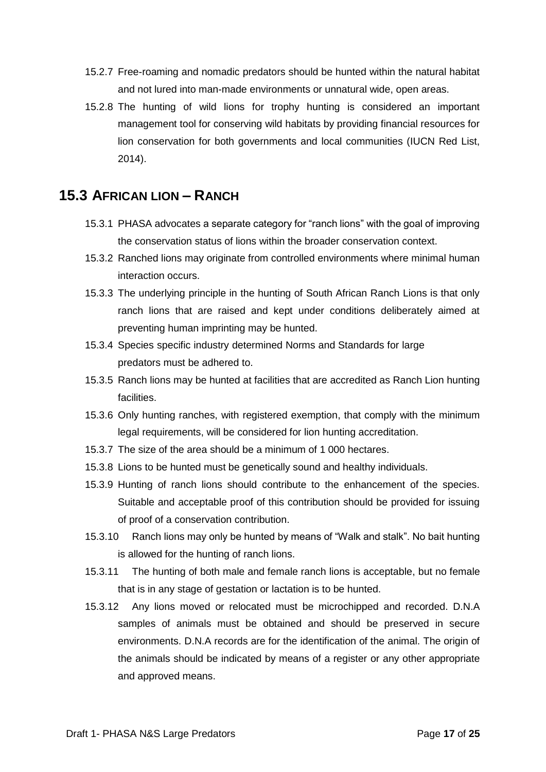- 15.2.7 Free-roaming and nomadic predators should be hunted within the natural habitat and not lured into man-made environments or unnatural wide, open areas.
- 15.2.8 The hunting of wild lions for trophy hunting is considered an important management tool for conserving wild habitats by providing financial resources for lion conservation for both governments and local communities (IUCN Red List, 2014).

#### <span id="page-17-0"></span>**15.3 AFRICAN LION – RANCH**

- 15.3.1 PHASA advocates a separate category for "ranch lions" with the goal of improving the conservation status of lions within the broader conservation context.
- 15.3.2 Ranched lions may originate from controlled environments where minimal human interaction occurs.
- 15.3.3 The underlying principle in the hunting of South African Ranch Lions is that only ranch lions that are raised and kept under conditions deliberately aimed at preventing human imprinting may be hunted.
- 15.3.4 Species specific industry determined Norms and Standards for large predators must be adhered to.
- 15.3.5 Ranch lions may be hunted at facilities that are accredited as Ranch Lion hunting facilities.
- 15.3.6 Only hunting ranches, with registered exemption, that comply with the minimum legal requirements, will be considered for lion hunting accreditation.
- 15.3.7 The size of the area should be a minimum of 1 000 hectares.
- 15.3.8 Lions to be hunted must be genetically sound and healthy individuals.
- 15.3.9 Hunting of ranch lions should contribute to the enhancement of the species. Suitable and acceptable proof of this contribution should be provided for issuing of proof of a conservation contribution.
- 15.3.10 Ranch lions may only be hunted by means of "Walk and stalk". No bait hunting is allowed for the hunting of ranch lions.
- 15.3.11 The hunting of both male and female ranch lions is acceptable, but no female that is in any stage of gestation or lactation is to be hunted.
- 15.3.12 Any lions moved or relocated must be microchipped and recorded. D.N.A samples of animals must be obtained and should be preserved in secure environments. D.N.A records are for the identification of the animal. The origin of the animals should be indicated by means of a register or any other appropriate and approved means.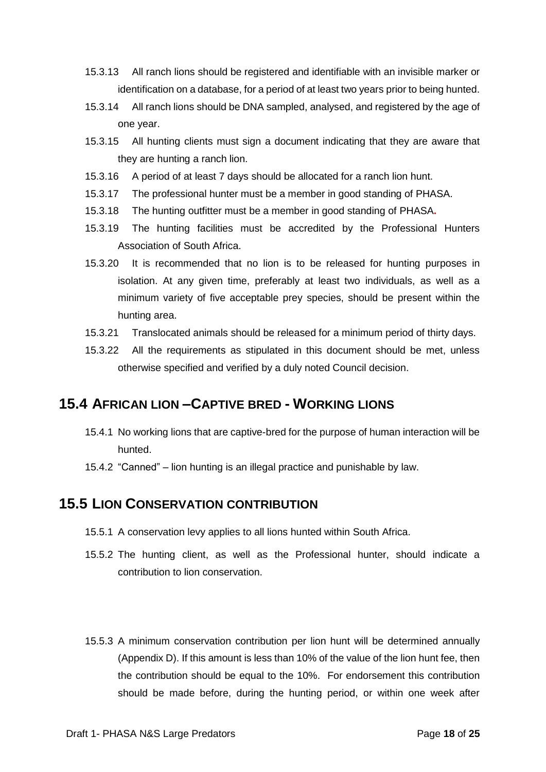- 15.3.13 All ranch lions should be registered and identifiable with an invisible marker or identification on a database, for a period of at least two years prior to being hunted.
- 15.3.14 All ranch lions should be DNA sampled, analysed, and registered by the age of one year.
- 15.3.15 All hunting clients must sign a document indicating that they are aware that they are hunting a ranch lion.
- 15.3.16 A period of at least 7 days should be allocated for a ranch lion hunt.
- 15.3.17 The professional hunter must be a member in good standing of PHASA.
- 15.3.18 The hunting outfitter must be a member in good standing of PHASA**.**
- 15.3.19 The hunting facilities must be accredited by the Professional Hunters Association of South Africa.
- 15.3.20 It is recommended that no lion is to be released for hunting purposes in isolation. At any given time, preferably at least two individuals, as well as a minimum variety of five acceptable prey species, should be present within the hunting area.
- 15.3.21 Translocated animals should be released for a minimum period of thirty days.
- 15.3.22 All the requirements as stipulated in this document should be met, unless otherwise specified and verified by a duly noted Council decision.

#### <span id="page-18-0"></span>**15.4 AFRICAN LION –CAPTIVE BRED - WORKING LIONS**

- 15.4.1 No working lions that are captive-bred for the purpose of human interaction will be hunted.
- 15.4.2 "Canned" lion hunting is an illegal practice and punishable by law.

#### <span id="page-18-1"></span>**15.5 LION CONSERVATION CONTRIBUTION**

- 15.5.1 A conservation levy applies to all lions hunted within South Africa.
- 15.5.2 The hunting client, as well as the Professional hunter, should indicate a contribution to lion conservation.
- 15.5.3 A minimum conservation contribution per lion hunt will be determined annually (Appendix D). If this amount is less than 10% of the value of the lion hunt fee, then the contribution should be equal to the 10%. For endorsement this contribution should be made before, during the hunting period, or within one week after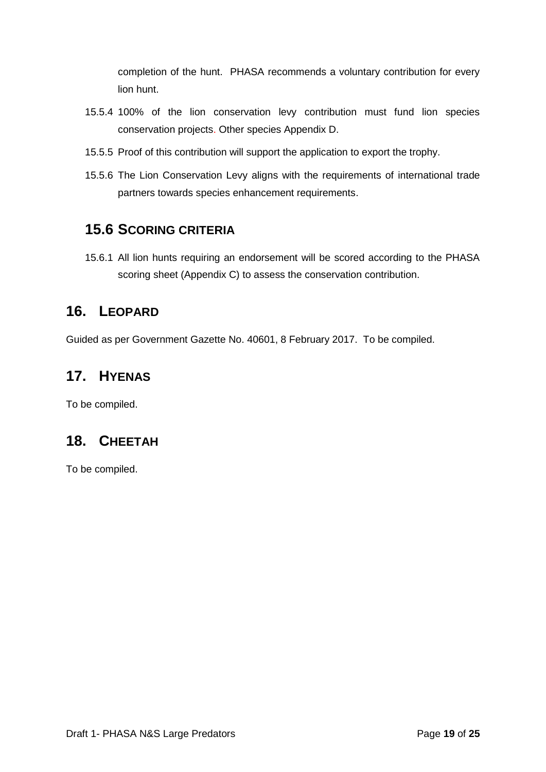completion of the hunt. PHASA recommends a voluntary contribution for every lion hunt.

- 15.5.4 100% of the lion conservation levy contribution must fund lion species conservation projects. Other species Appendix D.
- 15.5.5 Proof of this contribution will support the application to export the trophy.
- 15.5.6 The Lion Conservation Levy aligns with the requirements of international trade partners towards species enhancement requirements.

#### <span id="page-19-0"></span>**15.6 SCORING CRITERIA**

15.6.1 All lion hunts requiring an endorsement will be scored according to the PHASA scoring sheet (Appendix C) to assess the conservation contribution.

#### <span id="page-19-1"></span>**16. LEOPARD**

Guided as per Government Gazette No. 40601, 8 February 2017. To be compiled.

#### <span id="page-19-2"></span>**17. HYENAS**

To be compiled.

#### <span id="page-19-3"></span>**18. CHEETAH**

To be compiled.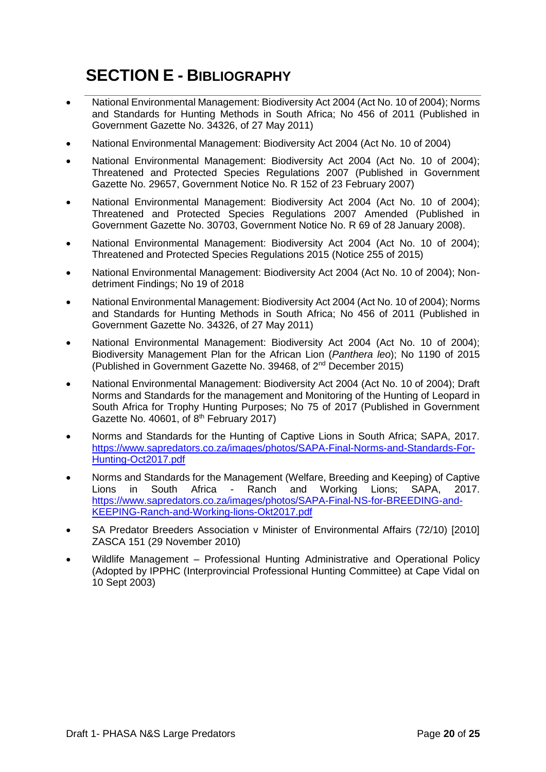## <span id="page-20-0"></span>**SECTION E - BIBLIOGRAPHY**

- National Environmental Management: Biodiversity Act 2004 (Act No. 10 of 2004); Norms and Standards for Hunting Methods in South Africa; No 456 of 2011 (Published in Government Gazette No. 34326, of 27 May 2011)
- National Environmental Management: Biodiversity Act 2004 (Act No. 10 of 2004)
- National Environmental Management: Biodiversity Act 2004 (Act No. 10 of 2004); Threatened and Protected Species Regulations 2007 (Published in Government Gazette No. 29657, Government Notice No. R 152 of 23 February 2007)
- National Environmental Management: Biodiversity Act 2004 (Act No. 10 of 2004); Threatened and Protected Species Regulations 2007 Amended (Published in Government Gazette No. 30703, Government Notice No. R 69 of 28 January 2008).
- National Environmental Management: Biodiversity Act 2004 (Act No. 10 of 2004); Threatened and Protected Species Regulations 2015 (Notice 255 of 2015)
- National Environmental Management: Biodiversity Act 2004 (Act No. 10 of 2004); Nondetriment Findings; No 19 of 2018
- National Environmental Management: Biodiversity Act 2004 (Act No. 10 of 2004); Norms and Standards for Hunting Methods in South Africa; No 456 of 2011 (Published in Government Gazette No. 34326, of 27 May 2011)
- National Environmental Management: Biodiversity Act 2004 (Act No. 10 of 2004); Biodiversity Management Plan for the African Lion (*Panthera leo*); No 1190 of 2015 (Published in Government Gazette No. 39468, of 2nd December 2015)
- National Environmental Management: Biodiversity Act 2004 (Act No. 10 of 2004); Draft Norms and Standards for the management and Monitoring of the Hunting of Leopard in South Africa for Trophy Hunting Purposes; No 75 of 2017 (Published in Government Gazette No. 40601, of  $8<sup>th</sup>$  February 2017)
- Norms and Standards for the Hunting of Captive Lions in South Africa; SAPA, 2017. [https://www.sapredators.co.za/images/photos/SAPA-Final-Norms-and-Standards-For-](https://www.sapredators.co.za/images/photos/SAPA-Final-Norms-and-Standards-For-Hunting-Oct2017.pdf)[Hunting-Oct2017.pdf](https://www.sapredators.co.za/images/photos/SAPA-Final-Norms-and-Standards-For-Hunting-Oct2017.pdf)
- Norms and Standards for the Management (Welfare, Breeding and Keeping) of Captive<br>Lions in South Africa Ranch and Working Lions; SAPA, 2017. Lions in South Africa - Ranch and Working Lions; SAPA, 2017. [https://www.sapredators.co.za/images/photos/SAPA-Final-NS-for-BREEDING-and-](https://www.sapredators.co.za/images/photos/SAPA-Final-NS-for-BREEDING-and-KEEPING-Ranch-and-Working-lions-Okt2017.pdf)[KEEPING-Ranch-and-Working-lions-Okt2017.pdf](https://www.sapredators.co.za/images/photos/SAPA-Final-NS-for-BREEDING-and-KEEPING-Ranch-and-Working-lions-Okt2017.pdf)
- SA Predator Breeders Association v Minister of Environmental Affairs (72/10) [2010] ZASCA 151 (29 November 2010)
- Wildlife Management Professional Hunting Administrative and Operational Policy (Adopted by IPPHC (Interprovincial Professional Hunting Committee) at Cape Vidal on 10 Sept 2003)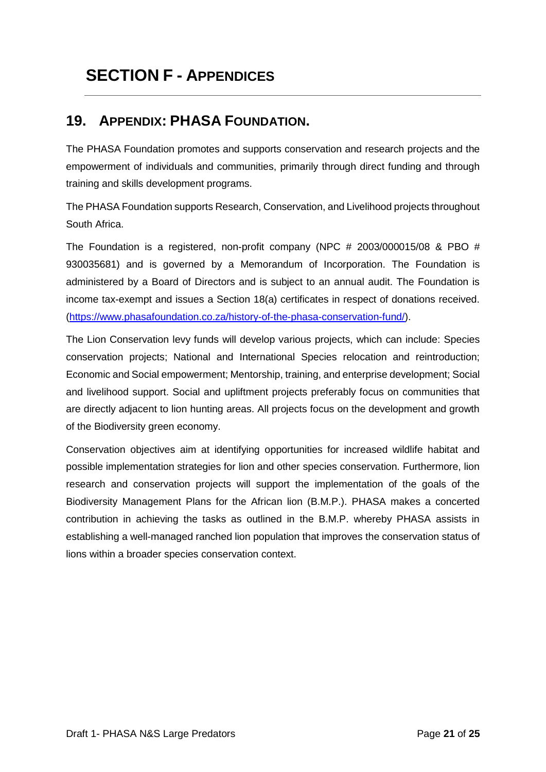## <span id="page-21-0"></span>**SECTION F - APPENDICES**

#### <span id="page-21-1"></span>**19. APPENDIX: PHASA FOUNDATION.**

The PHASA Foundation promotes and supports conservation and research projects and the empowerment of individuals and communities, primarily through direct funding and through training and skills development programs.

The PHASA Foundation supports Research, Conservation, and Livelihood projects throughout South Africa.

The Foundation is a registered, non-profit company (NPC # 2003/000015/08 & PBO # 930035681) and is governed by a Memorandum of Incorporation. The Foundation is administered by a Board of Directors and is subject to an annual audit. The Foundation is income tax-exempt and issues a Section 18(a) certificates in respect of donations received. [\(https://www.phasafoundation.co.za/history-of-the-phasa-conservation-fund/\)](https://www.phasafoundation.co.za/history-of-the-phasa-conservation-fund/).

The Lion Conservation levy funds will develop various projects, which can include: Species conservation projects; National and International Species relocation and reintroduction; Economic and Social empowerment; Mentorship, training, and enterprise development; Social and livelihood support. Social and upliftment projects preferably focus on communities that are directly adjacent to lion hunting areas. All projects focus on the development and growth of the Biodiversity green economy.

Conservation objectives aim at identifying opportunities for increased wildlife habitat and possible implementation strategies for lion and other species conservation. Furthermore, lion research and conservation projects will support the implementation of the goals of the Biodiversity Management Plans for the African lion (B.M.P.). PHASA makes a concerted contribution in achieving the tasks as outlined in the B.M.P. whereby PHASA assists in establishing a well-managed ranched lion population that improves the conservation status of lions within a broader species conservation context.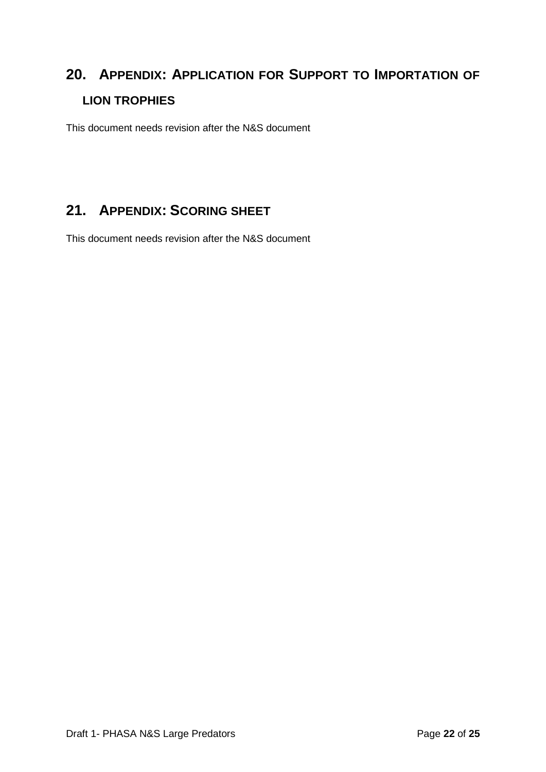## <span id="page-22-0"></span>**20. APPENDIX: APPLICATION FOR SUPPORT TO IMPORTATION OF LION TROPHIES**

This document needs revision after the N&S document

### <span id="page-22-1"></span>**21. APPENDIX: SCORING SHEET**

This document needs revision after the N&S document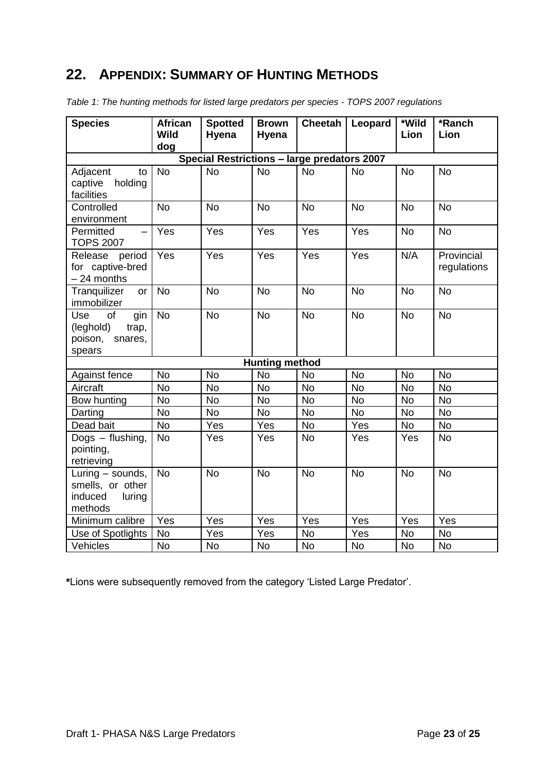#### <span id="page-23-0"></span>**22. APPENDIX: SUMMARY OF HUNTING METHODS**

| <b>Species</b>                                                         | <b>African</b><br><b>Wild</b> | <b>Spotted</b><br>Hyena | <b>Brown</b><br>Hyena | <b>Cheetah</b> | Leopard   | *Wild<br>Lion | $\overline{\text{}}$ Ranch<br>Lion |  |
|------------------------------------------------------------------------|-------------------------------|-------------------------|-----------------------|----------------|-----------|---------------|------------------------------------|--|
|                                                                        | dog                           |                         |                       |                |           |               |                                    |  |
| Special Restrictions - large predators 2007                            |                               |                         |                       |                |           |               |                                    |  |
| Adjacent<br>to<br>holding<br>captive<br>facilities                     | <b>No</b>                     | <b>No</b>               | <b>No</b>             | <b>No</b>      | <b>No</b> | <b>No</b>     | <b>No</b>                          |  |
| Controlled<br>environment                                              | <b>No</b>                     | <b>No</b>               | <b>No</b>             | <b>No</b>      | <b>No</b> | <b>No</b>     | <b>No</b>                          |  |
| Permitted<br>$\overline{\phantom{0}}$<br><b>TOPS 2007</b>              | Yes                           | Yes                     | Yes                   | Yes            | Yes       | <b>No</b>     | <b>No</b>                          |  |
| period<br>Release<br>for captive-bred<br>$-24$ months                  | Yes                           | Yes                     | Yes                   | Yes            | Yes       | N/A           | Provincial<br>regulations          |  |
| Tranquilizer<br>or<br>immobilizer                                      | <b>No</b>                     | <b>No</b>               | <b>No</b>             | <b>No</b>      | <b>No</b> | <b>No</b>     | <b>No</b>                          |  |
| Use<br>of<br>gin<br>(leghold)<br>trap,<br>poison,<br>snares,<br>spears | <b>No</b>                     | <b>No</b>               | <b>No</b>             | <b>No</b>      | <b>No</b> | <b>No</b>     | <b>No</b>                          |  |
|                                                                        |                               |                         | <b>Hunting method</b> |                |           |               |                                    |  |
| Against fence                                                          | <b>No</b>                     | <b>No</b>               | <b>No</b>             | <b>No</b>      | <b>No</b> | <b>No</b>     | <b>No</b>                          |  |
| Aircraft                                                               | <b>No</b>                     | <b>No</b>               | <b>No</b>             | <b>No</b>      | <b>No</b> | <b>No</b>     | <b>No</b>                          |  |
| Bow hunting                                                            | <b>No</b>                     | <b>No</b>               | <b>No</b>             | <b>No</b>      | <b>No</b> | <b>No</b>     | <b>No</b>                          |  |
| Darting                                                                | <b>No</b>                     | <b>No</b>               | <b>No</b>             | <b>No</b>      | <b>No</b> | <b>No</b>     | <b>No</b>                          |  |
| Dead bait                                                              | <b>No</b>                     | Yes                     | Yes                   | <b>No</b>      | Yes       | <b>No</b>     | <b>No</b>                          |  |
| Dogs - flushing,<br>pointing,<br>retrieving                            | <b>No</b>                     | Yes                     | Yes                   | <b>No</b>      | Yes       | Yes           | <b>No</b>                          |  |
| Luring - sounds,<br>smells, or other<br>induced<br>luring<br>methods   | <b>No</b>                     | <b>No</b>               | <b>No</b>             | <b>No</b>      | <b>No</b> | <b>No</b>     | <b>No</b>                          |  |
| Minimum calibre                                                        | $\overline{Yes}$              | Yes                     | Yes                   | Yes            | Yes       | Yes           | Yes                                |  |
| Use of Spotlights                                                      | <b>No</b>                     | Yes                     | Yes                   | <b>No</b>      | Yes       | <b>No</b>     | <b>No</b>                          |  |
| Vehicles                                                               | No                            | <b>No</b>               | No                    | No             | <b>No</b> | No            | <b>No</b>                          |  |

*Table 1: The hunting methods for listed large predators per species - TOPS 2007 regulations*

**\***Lions were subsequently removed from the category 'Listed Large Predator'.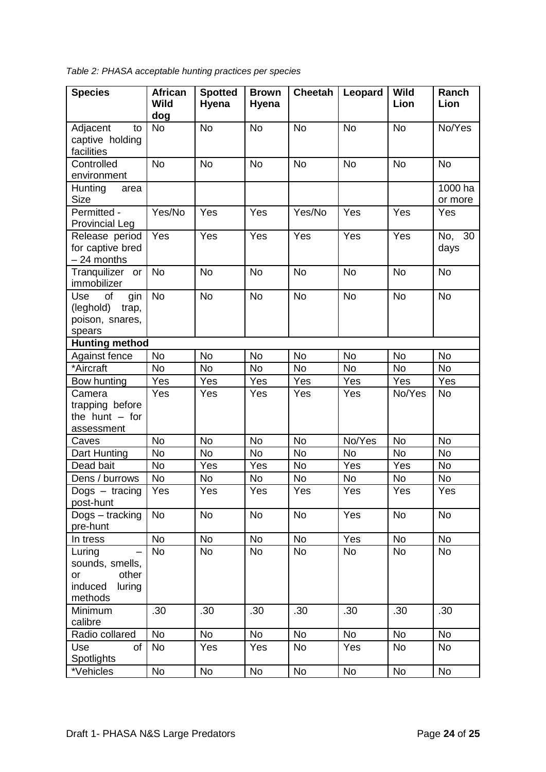*Table 2: PHASA acceptable hunting practices per species* 

| <b>Species</b>                    | <b>African</b><br><b>Wild</b> | <b>Spotted</b><br>Hyena | <b>Brown</b><br>Hyena | <b>Cheetah</b> | Leopard          | <b>Wild</b><br>Lion | Ranch<br>Lion  |
|-----------------------------------|-------------------------------|-------------------------|-----------------------|----------------|------------------|---------------------|----------------|
|                                   | dog                           |                         |                       |                |                  |                     |                |
| Adjacent<br>to                    | <b>No</b>                     | <b>No</b>               | <b>No</b>             | <b>No</b>      | <b>No</b>        | <b>No</b>           | No/Yes         |
| captive holding<br>facilities     |                               |                         |                       |                |                  |                     |                |
| Controlled                        | <b>No</b>                     | <b>No</b>               | <b>No</b>             | <b>No</b>      | <b>No</b>        | <b>No</b>           | <b>No</b>      |
| environment                       |                               |                         |                       |                |                  |                     |                |
| Hunting<br>area                   |                               |                         |                       |                |                  |                     | 1000 ha        |
| <b>Size</b>                       |                               |                         |                       |                |                  |                     | or more        |
| Permitted -                       | Yes/No                        | Yes                     | Yes                   | Yes/No         | Yes              | Yes                 | Yes            |
| <b>Provincial Leg</b>             |                               |                         |                       |                |                  |                     |                |
| Release period                    | Yes                           | Yes                     | Yes                   | Yes            | Yes              | Yes                 | No, 30         |
| for captive bred                  |                               |                         |                       |                |                  |                     | days           |
| - 24 months                       |                               |                         |                       |                |                  |                     |                |
| Tranquilizer<br>or<br>immobilizer | <b>No</b>                     | <b>No</b>               | <b>No</b>             | <b>No</b>      | <b>No</b>        | <b>No</b>           | <b>No</b>      |
| Use<br>of<br>gin                  | <b>No</b>                     | <b>No</b>               | <b>No</b>             | <b>No</b>      | <b>No</b>        | <b>No</b>           | <b>No</b>      |
| (leghold)<br>trap,                |                               |                         |                       |                |                  |                     |                |
| poison, snares,                   |                               |                         |                       |                |                  |                     |                |
| spears                            |                               |                         |                       |                |                  |                     |                |
| <b>Hunting method</b>             |                               |                         |                       |                |                  |                     |                |
| Against fence                     | <b>No</b>                     | <b>No</b>               | <b>No</b>             | <b>No</b>      | <b>No</b>        | <b>No</b>           | No             |
| *Aircraft                         | <b>No</b>                     | <b>No</b>               | <b>No</b>             | <b>No</b>      | <b>No</b>        | <b>No</b>           | <b>No</b>      |
| Bow hunting                       | Yes                           | Yes                     | Yes                   | Yes            | Yes              | Yes                 | Yes            |
| Camera<br>trapping before         | Yes                           | Yes                     | Yes                   | Yes            | Yes              | No/Yes              | <b>No</b>      |
| the hunt $-$ for                  |                               |                         |                       |                |                  |                     |                |
| assessment                        |                               |                         |                       |                |                  |                     |                |
| Caves                             | <b>No</b>                     | <b>No</b>               | <b>No</b>             | <b>No</b>      | No/Yes           | <b>No</b>           | <b>No</b>      |
| Dart Hunting                      | <b>No</b>                     | <b>No</b>               | <b>No</b>             | <b>No</b>      | <b>No</b>        | <b>No</b>           | <b>No</b>      |
| Dead bait                         | No                            | Yes                     | Yes                   | <b>No</b>      | Yes              | Yes                 | <b>No</b>      |
| Dens / burrows                    | No                            | No                      | No                    | <b>No</b>      | <b>No</b>        | <b>No</b>           | <b>No</b>      |
| Dogs $-$ tracing                  | Yes                           | Yes                     | Yes                   | Yes            | Yes              | Yes                 | Yes            |
| post-hunt                         |                               |                         |                       |                |                  |                     |                |
| Dogs - tracking                   | <b>No</b>                     | No                      | No                    | <b>No</b>      | Yes              | No                  | <b>No</b>      |
| pre-hunt                          |                               |                         |                       |                |                  |                     |                |
| In tress                          | <b>No</b>                     | <b>No</b>               | <b>No</b>             | <b>No</b>      | $\overline{Yes}$ | <b>No</b>           | <b>No</b>      |
| Luring                            | No                            | <b>No</b>               | <b>No</b>             | <b>No</b>      | No               | No                  | No             |
| sounds, smells,                   |                               |                         |                       |                |                  |                     |                |
| other<br>or                       |                               |                         |                       |                |                  |                     |                |
| induced<br>luring                 |                               |                         |                       |                |                  |                     |                |
| methods                           |                               | .30                     | .30                   | .30            | .30              | .30                 | .30            |
| Minimum<br>calibre                | .30                           |                         |                       |                |                  |                     |                |
| Radio collared                    | <b>No</b>                     | No                      | No                    | <b>No</b>      | <b>No</b>        | <b>No</b>           | <b>No</b>      |
| Use<br>of                         | No                            | Yes                     | Yes                   | No             | Yes              | No                  | No             |
| Spotlights                        |                               |                         |                       |                |                  |                     |                |
| *Vehicles                         | <b>No</b>                     | No                      | $\overline{N}$ o      | <b>No</b>      | No               | No                  | N <sub>o</sub> |